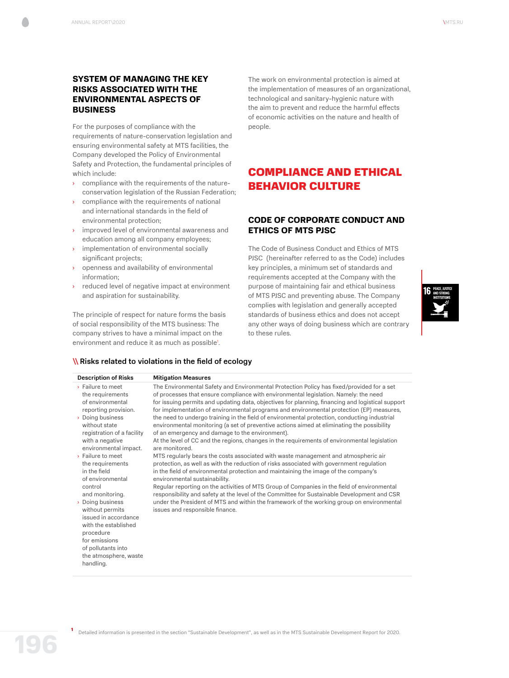# **SYSTEM OF MANAGING THE KEY RISKS ASSOCIATED WITH THE ENVIRONMENTAL ASPECTS OF BUSINESS**

For the purposes of compliance with the requirements of nature-conservation legislation and ensuring environmental safety at MTS facilities, the Company developed the Policy of Environmental Safety and Protection, the fundamental principles of which include:

- › compliance with the requirements of the natureconservation legislation of the Russian Federation;
- › compliance with the requirements of national and international standards in the field of environmental protection;
- › improved level of environmental awareness and education among all company employees;
- implementation of environmental socially significant projects;
- openness and availability of environmental information;
- › reduced level of negative impact at environment and aspiration for sustainability.

The principle of respect for nature forms the basis of social responsibility of the MTS business: The company strives to have a minimal impact on the environment and reduce it as much as possible<sup>1</sup>.

**\\Risks related to violations in the field of ecology** 

The work on environmental protection is aimed at the implementation of measures of an organizational, technological and sanitary-hygienic nature with the aim to prevent and reduce the harmful effects of economic activities on the nature and health of people.

# COMPLIANCE AND ETHICAL BEHAVIOR CULTURE

## **CODE OF CORPORATE CONDUCT AND ETHICS OF MTS PJSC**

The Code of Business Conduct and Ethics of MTS PJSC (hereinafter referred to as the Code) includes key principles, a minimum set of standards and requirements accepted at the Company with the purpose of maintaining fair and ethical business of MTS PJSC and preventing abuse. The Company complies with legislation and generally accepted standards of business ethics and does not accept any other ways of doing business which are contrary to these rules.



| <b>Description of Risks</b> |                                                                                                                                | <b>Mitigation Measures</b>                                                                                                                                                                                                                                                                                                                                                                                                                                                        |
|-----------------------------|--------------------------------------------------------------------------------------------------------------------------------|-----------------------------------------------------------------------------------------------------------------------------------------------------------------------------------------------------------------------------------------------------------------------------------------------------------------------------------------------------------------------------------------------------------------------------------------------------------------------------------|
|                             | > Failure to meet<br>the requirements<br>of environmental<br>reporting provision.<br>> Doing business                          | The Environmental Safety and Environmental Protection Policy has fixed/provided for a set<br>of processes that ensure compliance with environmental legislation. Namely: the need<br>for issuing permits and updating data, objectives for planning, financing and logistical support<br>for implementation of environmental programs and environmental protection (EP) measures,<br>the need to undergo training in the field of environmental protection, conducting industrial |
|                             | without state<br>registration of a facility<br>with a negative<br>environmental impact.                                        | environmental monitoring (a set of preventive actions aimed at eliminating the possibility<br>of an emergency and damage to the environment).<br>At the level of CC and the regions, changes in the requirements of environmental legislation<br>are monitored.                                                                                                                                                                                                                   |
|                             | > Failure to meet<br>the requirements<br>in the field<br>of environmental                                                      | MTS regularly bears the costs associated with waste management and atmospheric air<br>protection, as well as with the reduction of risks associated with government regulation<br>in the field of environmental protection and maintaining the image of the company's<br>environmental sustainability.                                                                                                                                                                            |
|                             | control<br>and monitoring.<br>> Doing business<br>without permits<br>issued in accordance<br>with the established<br>procedure | Regular reporting on the activities of MTS Group of Companies in the field of environmental<br>responsibility and safety at the level of the Committee for Sustainable Development and CSR<br>under the President of MTS and within the framework of the working group on environmental<br>issues and responsible finance.                                                                                                                                                        |
|                             | for emissions<br>of pollutants into<br>the atmosphere, waste<br>handling.                                                      |                                                                                                                                                                                                                                                                                                                                                                                                                                                                                   |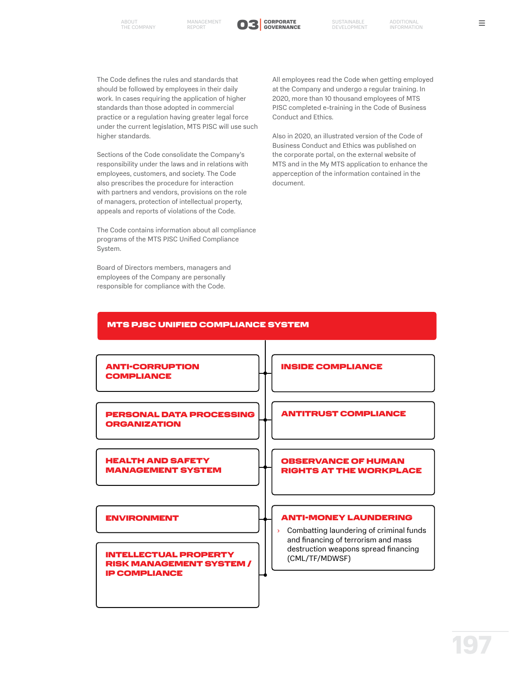

The Code defines the rules and standards that should be followed by employees in their daily work. In cases requiring the application of higher standards than those adopted in commercial practice or a regulation having greater legal force under the current legislation, MTS PJSC will use such higher standards.

Sections of the Code consolidate the Company's responsibility under the laws and in relations with employees, customers, and society. The Code also prescribes the procedure for interaction with partners and vendors, provisions on the role of managers, protection of intellectual property, appeals and reports of violations of the Code.

The Code contains information about all compliance programs of the MTS PJSC Unified Compliance System.

Board of Directors members, managers and employees of the Company are personally responsible for compliance with the Code.

All employees read the Code when getting employed at the Company and undergo a regular training. In 2020, more than 10 thousand employees of MTS PJSC completed e-training in the Code of Business Conduct and Ethics.

Also in 2020, an illustrated version of the Code of Business Conduct and Ethics was published on the corporate portal, on the external website of MTS and in the My MTS application to enhance the apperception of the information contained in the document.

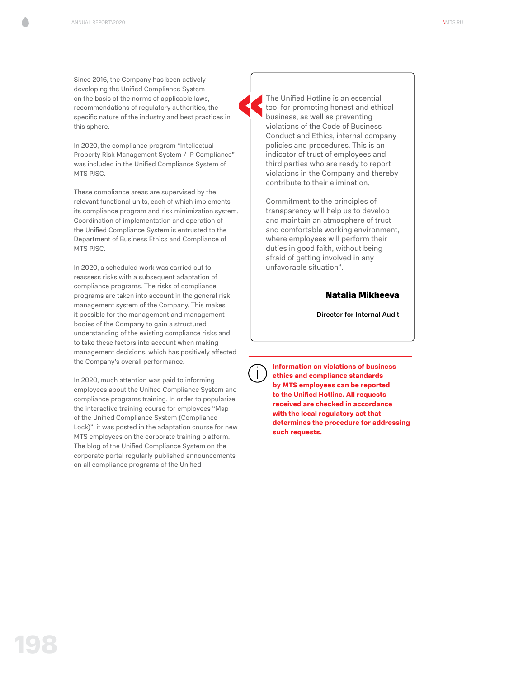Since 2016, the Company has been actively developing the Unified Compliance System on the basis of the norms of applicable laws, recommendations of regulatory authorities, the specific nature of the industry and best practices in this sphere.

In 2020, the compliance program "Intellectual Property Risk Management System / IP Compliance" was included in the Unified Compliance System of MTS PJSC.

These compliance areas are supervised by the relevant functional units, each of which implements its compliance program and risk minimization system. Coordination of implementation and operation of the Unified Compliance System is entrusted to the Department of Business Ethics and Compliance of MTS PJSC.

In 2020, a scheduled work was carried out to reassess risks with a subsequent adaptation of compliance programs. The risks of compliance programs are taken into account in the general risk management system of the Company. This makes it possible for the management and management bodies of the Company to gain a structured understanding of the existing compliance risks and to take these factors into account when making management decisions, which has positively affected the Company's overall performance.

In 2020, much attention was paid to informing employees about the Unified Compliance System and compliance programs training. In order to popularize the interactive training course for employees "Map of the Unified Compliance System (Compliance Lock)", it was posted in the adaptation course for new MTS employees on the corporate training platform. The blog of the Unified Compliance System on the corporate portal regularly published announcements on all compliance programs of the Unified

The Unified Hotline is an essential tool for promoting honest and ethical business, as well as preventing violations of the Code of Business Conduct and Ethics, internal company policies and procedures. This is an indicator of trust of employees and third parties who are ready to report violations in the Company and thereby contribute to their elimination.

Commitment to the principles of transparency will help us to develop and maintain an atmosphere of trust and comfortable working environment, where employees will perform their duties in good faith, without being afraid of getting involved in any unfavorable situation".

# Natalia Mikheeva

Director for Internal Audit

**Information on violations of business ethics and compliance standards by MTS employees can be reported to the Unified Hotline. All requests received are checked in accordance with the local regulatory act that determines the procedure for addressing such requests.**

**198**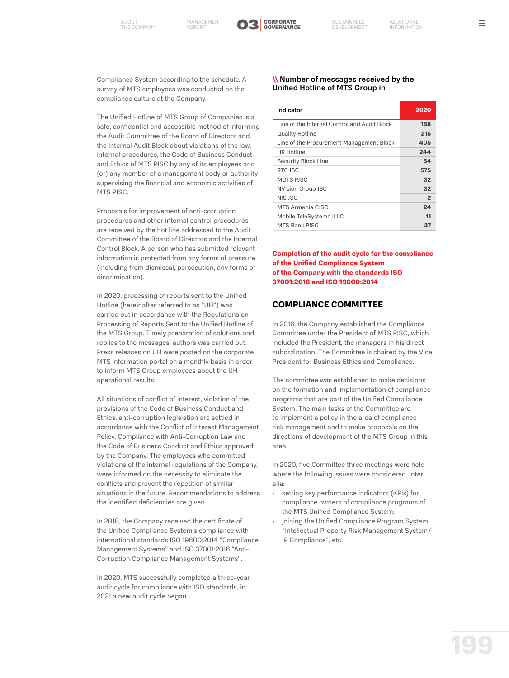

 $=$ 

Compliance System according to the schedule. A survey of MTS employees was conducted on the compliance culture at the Company.

The Unified Hotline of MTS Group of Companies is a safe, confidential and accessible method of informing the Audit Committee of the Board of Directors and the Internal Audit Block about violations of the law, internal procedures, the Code of Business Conduct and Ethics of MTS PJSC by any of its employees and (or) any member of a management body or authority supervising the financial and economic activities of MTS PJSC.

Proposals for improvement of anti-corruption procedures and other internal control procedures are received by the hot line addressed to the Audit Committee of the Board of Directors and the Internal Control Block. A person who has submitted relevant information is protected from any forms of pressure (including from dismissal, persecution, any forms of discrimination).

In 2020, processing of reports sent to the Unified Hotline (hereinafter referred to as "UH") was carried out in accordance with the Regulations on Processing of Reports Sent to the Unified Hotline of the MTS Group. Timely preparation of solutions and replies to the messages' authors was carried out. Press releases on UH were posted on the corporate MTS information portal on a monthly basis in order to inform MTS Group employees about the UH operational results.

All situations of conflict of interest, violation of the provisions of the Code of Business Conduct and Ethics, anti-corruption legislation are settled in accordance with the Conflict of Interest Management Policy, Compliance with Anti-Corruption Law and the Code of Business Conduct and Ethics approved by the Company. The employees who committed violations of the internal regulations of the Company, were informed on the necessity to eliminate the conflicts and prevent the repetition of similar situations in the future. Recommendations to address the identified deficiencies are given.

In 2018, the Company received the certificate of the Unified Compliance System's compliance with international standards ISO 19600:2014 "Compliance Management Systems" and ISO 37001:2016 "Anti-Corruption Compliance Management Systems".

In 2020, MTS successfully completed a three-year audit cycle for compliance with ISO standards, in 2021 a new audit cycle began.

#### \\Number of messages received by the Unified Hotline of MTS Group in

| Indicator                                    | 2020           |
|----------------------------------------------|----------------|
| Line of the Internal Control and Audit Block | 188            |
| <b>Quality Hotline</b>                       | 215            |
| Line of the Procurement Management Block     | 405            |
| <b>HR</b> Hotline                            | 244            |
| Security Block Line                          | 54             |
| RTC ISC                                      | 575            |
| MGTS PISC                                    | 32             |
| <b>NVision Group JSC</b>                     | 32             |
| NIS ISC                                      | $\overline{2}$ |
| MTS Armenia CISC                             | 24             |
| Mobile TeleSystems JLLC                      | 11             |
| MTS Bank PISC                                | 37             |

**Completion of the audit cycle for the compliance of the Unified Compliance System of the Company with the standards ISO 37001:2016 and ISO 19600:2014**

# **COMPLIANCE COMMITTEE**

In 2016, the Company established the Compliance Committee under the President of MTS PJSC, which included the President, the managers in his direct subordination. The Committee is chaired by the Vice President for Business Ethics and Compliance.

The committee was established to make decisions on the formation and implementation of compliance programs that are part of the Unified Compliance System. The main tasks of the Committee are to implement a policy in the area of compliance risk management and to make proposals on the directions of development of the MTS Group in this area.

In 2020, five Committee three meetings were held where the following issues were considered, inter alia:

- › setting key performance indicators (KPIs) for compliance owners of compliance programs of the MTS Unified Compliance System;
- joining the Unified Compliance Program System "Intellectual Property Risk Management System/ IP Compliance", etc.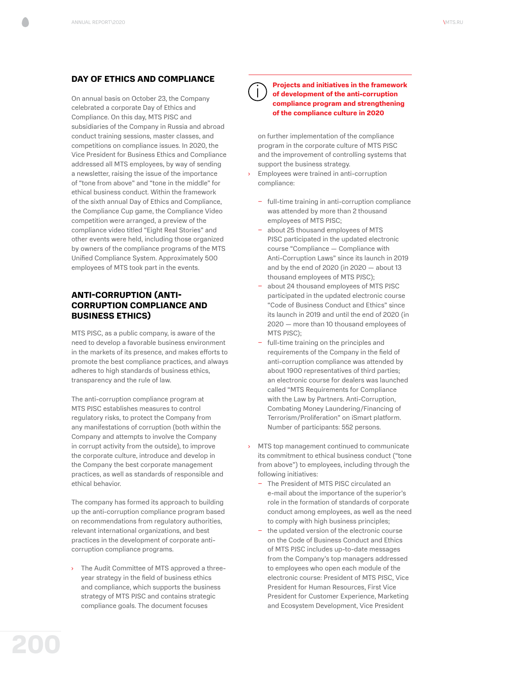## **DAY OF ETHICS AND COMPLIANCE**

On annual basis on October 23, the Company celebrated a corporate Day of Ethics and Compliance. On this day, MTS PJSC and subsidiaries of the Company in Russia and abroad conduct training sessions, master classes, and competitions on compliance issues. In 2020, the Vice President for Business Ethics and Compliance addressed all MTS employees, by way of sending a newsletter, raising the issue of the importance of "tone from above" and "tone in the middle" for ethical business conduct. Within the framework of the sixth annual Day of Ethics and Compliance, the Compliance Cup game, the Compliance Video competition were arranged, a preview of the compliance video titled "Eight Real Stories" and other events were held, including those organized by owners of the compliance programs of the MTS Unified Compliance System. Approximately 500 employees of MTS took part in the events.

# **ANTI-CORRUPTION (ANTI-CORRUPTION COMPLIANCE AND BUSINESS ETHICS)**

MTS PJSC, as a public company, is aware of the need to develop a favorable business environment in the markets of its presence, and makes efforts to promote the best compliance practices, and always adheres to high standards of business ethics, transparency and the rule of law.

The anti-corruption compliance program at MTS PJSC establishes measures to control regulatory risks, to protect the Company from any manifestations of corruption (both within the Company and attempts to involve the Company in corrupt activity from the outside), to improve the corporate culture, introduce and develop in the Company the best corporate management practices, as well as standards of responsible and ethical behavior.

The company has formed its approach to building up the anti-corruption compliance program based on recommendations from regulatory authorities, relevant international organizations, and best practices in the development of corporate anticorruption compliance programs.

The Audit Committee of MTS approved a threeyear strategy in the field of business ethics and compliance, which supports the business strategy of MTS PJSC and contains strategic compliance goals. The document focuses

**Projects and initiatives in the framework of development of the anti-corruption compliance program and strengthening of the compliance culture in 2020**

on further implementation of the compliance program in the corporate culture of MTS PJSC and the improvement of controlling systems that support the business strategy.

- Employees were trained in anti-corruption compliance:
	- − full-time training in anti-corruption compliance was attended by more than 2 thousand employees of MTS PJSC;
	- − about 25 thousand employees of MTS PJSC participated in the updated electronic course "Compliance — Compliance with Anti-Corruption Laws" since its launch in 2019 and by the end of 2020 (in 2020 — about 13 thousand employees of MTS PJSC);
	- − about 24 thousand employees of MTS PJSC participated in the updated electronic course "Code of Business Conduct and Ethics" since its launch in 2019 and until the end of 2020 (in 2020 — more than 10 thousand employees of MTS PJSC);
	- full-time training on the principles and requirements of the Company in the field of anti-corruption compliance was attended by about 1900 representatives of third parties; an electronic course for dealers was launched called "MTS Requirements for Compliance with the Law by Partners. Anti-Corruption, Combating Money Laundering/Financing of Terrorism/Proliferation" on iSmart platform. Number of participants: 552 persons.
- › MTS top management continued to communicate its commitment to ethical business conduct ("tone from above") to employees, including through the following initiatives:
	- − The President of MTS PJSC circulated an e-mail about the importance of the superior's role in the formation of standards of corporate conduct among employees, as well as the need to comply with high business principles;
	- the updated version of the electronic course on the Code of Business Conduct and Ethics of MTS PJSC includes up-to-date messages from the Company's top managers addressed to employees who open each module of the electronic course: President of MTS PJSC, Vice President for Human Resources, First Vice President for Customer Experience, Marketing and Ecosystem Development, Vice President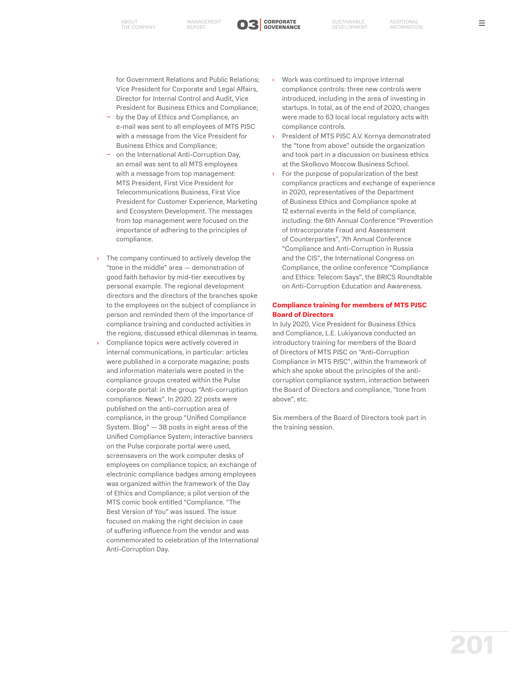ABOUT MANAGEMENT O3<sup>|</sup>



for Government Relations and Public Relations; Vice President for Corporate and Legal Affairs, Director for Internal Control and Audit, Vice President for Business Ethics and Compliance;

- by the Day of Ethics and Compliance, an e-mail was sent to all employees of MTS PJSC with a message from the Vice President for Business Ethics and Compliance;
- − on the International Anti-Corruption Day, an email was sent to all MTS employees with a message from top management: MTS President, First Vice President for Telecommunications Business, First Vice President for Customer Experience, Marketing and Ecosystem Development. The messages from top management were focused on the importance of adhering to the principles of compliance.
- › The company continued to actively develop the "tone in the middle" area — demonstration of good faith behavior by mid-tier executives by personal example. The regional development directors and the directors of the branches spoke to the employees on the subject of compliance in person and reminded them of the importance of compliance training and conducted activities in the regions, discussed ethical dilemmas in teams.
- Compliance topics were actively covered in internal communications, in particular: articles were published in a corporate magazine; posts and information materials were posted in the compliance groups created within the Pulse corporate portal: in the group "Anti-corruption compliance. News". In 2020, 22 posts were published on the anti-corruption area of compliance, in the group "Unified Compliance System. Blog" — 38 posts in eight areas of the Unified Compliance System; interactive banners on the Pulse corporate portal were used, screensavers on the work computer desks of employees on compliance topics; an exchange of electronic compliance badges among employees was organized within the framework of the Day of Ethics and Compliance; a pilot version of the MTS comic book entitled "Compliance. "The Best Version of You" was issued. The issue focused on making the right decision in case of suffering influence from the vendor and was commemorated to celebration of the International Anti-Corruption Day.
- Work was continued to improve internal compliance controls: three new controls were introduced, including in the area of investing in startups. In total, as of the end of 2020, changes were made to 63 local local regulatory acts with compliance controls.
- › President of MTS PJSC A.V. Kornya demonstrated the "tone from above" outside the organization and took part in a discussion on business ethics at the Skolkovo Moscow Business School.
- For the purpose of popularization of the best compliance practices and exchange of experience in 2020, representatives of the Department of Business Ethics and Compliance spoke at 12 external events in the field of compliance, including: the 6th Annual Conference "Prevention of Intracorporate Fraud and Assessment of Counterparties", 7th Annual Conference "Compliance and Anti-Corruption in Russia and the CIS", the International Congress on Compliance, the online conference "Compliance and Ethics: Telecom Says", the BRICS Roundtable on Anti-Corruption Education and Awareness.

#### **Compliance training for members of MTS PJSC Board of Directors**

In July 2020, Vice President for Business Ethics and Compliance, L.E. Lukiyanova conducted an introductory training for members of the Board of Directors of MTS PJSC on "Anti-Corruption Compliance in MTS PJSC", within the framework of which she spoke about the principles of the anticorruption compliance system, interaction between the Board of Directors and compliance, "tone from above", etc.

Six members of the Board of Directors took part in the training session.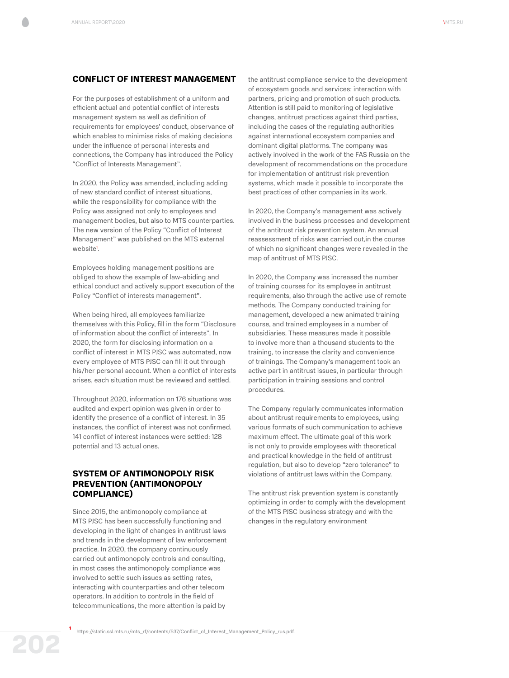#### **CONFLICT OF INTEREST MANAGEMENT**

For the purposes of establishment of a uniform and efficient actual and potential conflict of interests management system as well as definition of requirements for employees' conduct, observance of which enables to minimise risks of making decisions under the influence of personal interests and connections, the Company has introduced the Policy "Conflict of Interests Management".

In 2020, the Policy was amended, including adding of new standard conflict of interest situations, while the responsibility for compliance with the Policy was assigned not only to employees and management bodies, but also to MTS counterparties. The new version of the Policy "Conflict of Interest Management" was published on the MTS external website<sup>1</sup>.

Employees holding management positions are obliged to show the example of law-abiding and ethical conduct and actively support execution of the Policy "Conflict of interests management".

When being hired, all employees familiarize themselves with this Policy, fill in the form "Disclosure of information about the conflict of interests". In 2020, the form for disclosing information on a conflict of interest in MTS PJSC was automated, now every employee of MTS PJSC can fill it out through his/her personal account. When a conflict of interests arises, each situation must be reviewed and settled.

Throughout 2020, information on 176 situations was audited and expert opinion was given in order to identify the presence of a conflict of interest. In 35 instances, the conflict of interest was not confirmed. 141 conflict of interest instances were settled: 128 potential and 13 actual ones.

# **SYSTEM OF ANTIMONOPOLY RISK PREVENTION (ANTIMONOPOLY COMPLIANCE)**

Since 2015, the antimonopoly compliance at MTS PJSC has been successfully functioning and developing in the light of changes in antitrust laws and trends in the development of law enforcement practice. In 2020, the company continuously carried out antimonopoly controls and consulting, in most cases the antimonopoly compliance was involved to settle such issues as setting rates, interacting with counterparties and other telecom operators. In addition to controls in the field of telecommunications, the more attention is paid by

the antitrust compliance service to the development of ecosystem goods and services: interaction with partners, pricing and promotion of such products. Attention is still paid to monitoring of legislative changes, antitrust practices against third parties, including the cases of the regulating authorities against international ecosystem companies and dominant digital platforms. The company was actively involved in the work of the FAS Russia on the development of recommendations on the procedure for implementation of antitrust risk prevention systems, which made it possible to incorporate the best practices of other companies in its work.

In 2020, the Company's management was actively involved in the business processes and development of the antitrust risk prevention system. An annual reassessment of risks was carried out,in the course of which no significant changes were revealed in the map of antitrust of MTS PJSC.

In 2020, the Company was increased the number of training courses for its employee in antitrust requirements, also through the active use of remote methods. The Company conducted training for management, developed a new animated training course, and trained employees in a number of subsidiaries. These measures made it possible to involve more than a thousand students to the training, to increase the clarity and convenience of trainings. The Company's management took an active part in antitrust issues, in particular through participation in training sessions and control procedures.

The Company regularly communicates information about antitrust requirements to employees, using various formats of such communication to achieve maximum effect. The ultimate goal of this work is not only to provide employees with theoretical and practical knowledge in the field of antitrust regulation, but also to develop "zero tolerance" to violations of antitrust laws within the Company.

The antitrust risk prevention system is constantly optimizing in order to comply with the development of the MTS PJSC business strategy and with the changes in the regulatory environment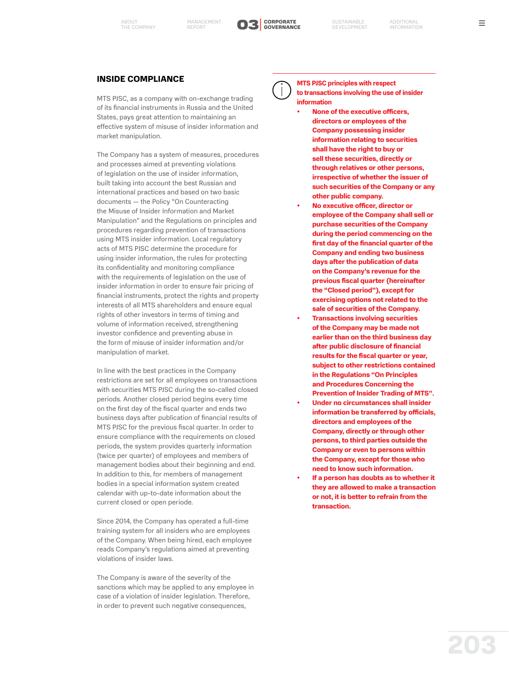



# **INSIDE COMPLIANCE**

MTS PJSC, as a company with on-exchange trading of its financial instruments in Russia and the United States, pays great attention to maintaining an effective system of misuse of insider information and market manipulation.

The Company has a system of measures, procedures and processes aimed at preventing violations of legislation on the use of insider information, built taking into account the best Russian and international practices and based on two basic documents — the Policy "On Counteracting the Misuse of Insider Information and Market Manipulation" and the Regulations on principles and procedures regarding prevention of transactions using MTS insider information. Local regulatory acts of MTS PJSC determine the procedure for using insider information, the rules for protecting its confidentiality and monitoring compliance with the requirements of legislation on the use of insider information in order to ensure fair pricing of financial instruments, protect the rights and property interests of all MTS shareholders and ensure equal rights of other investors in terms of timing and volume of information received, strengthening investor confidence and preventing abuse in the form of misuse of insider information and/or manipulation of market.

In line with the best practices in the Company restrictions are set for all employees on transactions with securities MTS PJSC during the so-called closed periods. Another closed period begins every time on the first day of the fiscal quarter and ends two business days after publication of financial results of MTS PJSC for the previous fiscal quarter. In order to ensure compliance with the requirements on closed periods, the system provides quarterly information (twice per quarter) of employees and members of management bodies about their beginning and end. In addition to this, for members of management bodies in a special information system created calendar with up-to-date information about the current closed or open periodе.

Since 2014, the Company has operated a full-time training system for all insiders who are employees of the Company. When being hired, each employee reads Company's regulations aimed at preventing violations of insider laws.

The Company is aware of the severity of the sanctions which may be applied to any employee in case of a violation of insider legislation. Therefore, in order to prevent such negative consequences,



**MTS PJSC principles with respect to transactions involving the use of insider information**

- **• None of the executive officers, directors or employees of the Company possessing insider information relating to securities shall have the right to buy or sell these securities, directly or through relatives or other persons, irrespective of whether the issuer of such securities of the Company or any other public company.**
- **• No executive officer, director or employee of the Company shall sell or purchase securities of the Company during the period commencing on the first day of the financial quarter of the Company and ending two business days after the publication of data on the Company's revenue for the previous fiscal quarter (hereinafter the "Closed period"), except for exercising options not related to the sale of securities of the Company.**
- **• Transactions involving securities of the Company may be made not earlier than on the third business day after public disclosure of financial results for the fiscal quarter or year, subject to other restrictions contained in the Regulations "On Principles and Procedures Concerning the Prevention of Insider Trading of MTS".**
- **• Under no circumstances shall insider information be transferred by officials, directors and employees of the Company, directly or through other persons, to third parties outside the Company or even to persons within the Company, except for those who need to know such information.**
- **• If a person has doubts as to whether it they are allowed to make a transaction or not, it is better to refrain from the transaction.**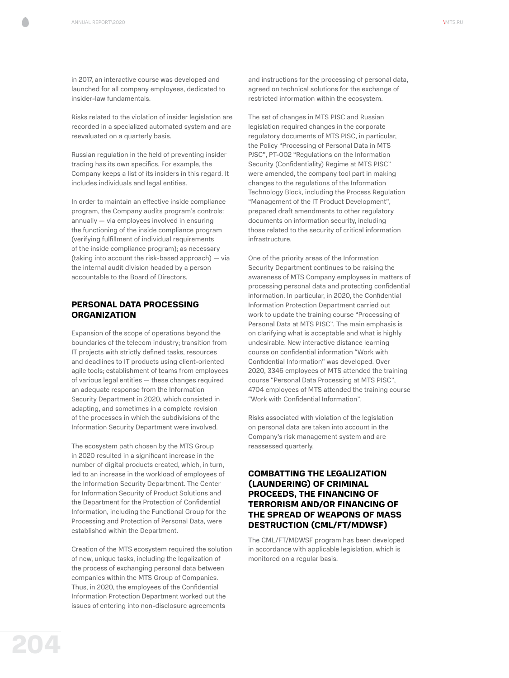in 2017, an interactive course was developed and launched for all company employees, dedicated to insider-law fundamentals.

Risks related to the violation of insider legislation are recorded in a specialized automated system and are reevaluated on a quarterly basis.

Russian regulation in the field of preventing insider trading has its own specifics. For example, the Company keeps a list of its insiders in this regard. It includes individuals and legal entities.

In order to maintain an effective inside compliance program, the Company audits program's controls: annually — via employees involved in ensuring the functioning of the inside compliance program (verifying fulfillment of individual requirements of the inside compliance program); as necessary (taking into account the risk-based approach) — via the internal audit division headed by a person accountable to the Board of Directors.

# **PERSONAL DATA PROCESSING ORGANIZATION**

Expansion of the scope of operations beyond the boundaries of the telecom industry; transition from IT projects with strictly defined tasks, resources and deadlines to IT products using client-oriented agile tools; establishment of teams from employees of various legal entities — these changes required an adequate response from the Information Security Department in 2020, which consisted in adapting, and sometimes in a complete revision of the processes in which the subdivisions of the Information Security Department were involved.

The ecosystem path chosen by the MTS Group in 2020 resulted in a significant increase in the number of digital products created, which, in turn, led to an increase in the workload of employees of the Information Security Department. The Center for Information Security of Product Solutions and the Department for the Protection of Confidential Information, including the Functional Group for the Processing and Protection of Personal Data, were established within the Department.

Creation of the MTS ecosystem required the solution of new, unique tasks, including the legalization of the process of exchanging personal data between companies within the MTS Group of Companies. Thus, in 2020, the employees of the Confidential Information Protection Department worked out the issues of entering into non-disclosure agreements

and instructions for the processing of personal data, agreed on technical solutions for the exchange of restricted information within the ecosystem.

The set of changes in MTS PJSC and Russian legislation required changes in the corporate regulatory documents of MTS PJSC, in particular, the Policy "Processing of Personal Data in MTS PJSC", PT-002 "Regulations on the Information Security (Confidentiality) Regime at MTS PJSC" were amended, the company tool part in making changes to the regulations of the Information Technology Block, including the Process Regulation "Management of the IT Product Development", prepared draft amendments to other regulatory documents on information security, including those related to the security of critical information infrastructure.

One of the priority areas of the Information Security Department continues to be raising the awareness of MTS Company employees in matters of processing personal data and protecting confidential information. In particular, in 2020, the Confidential Information Protection Department carried out work to update the training course "Processing of Personal Data at MTS PJSC". The main emphasis is on clarifying what is acceptable and what is highly undesirable. New interactive distance learning course on confidential information "Work with Confidential Information" was developed. Over 2020, 3346 employees of MTS attended the training course "Personal Data Processing at MTS PJSC", 4704 employees of MTS attended the training course "Work with Confidential Information".

Risks associated with violation of the legislation on personal data are taken into account in the Company's risk management system and are reassessed quarterly.

## **COMBATTING THE LEGALIZATION (LAUNDERING) OF CRIMINAL PROCEEDS, THE FINANCING OF TERRORISM AND/OR FINANCING OF THE SPREAD OF WEAPONS OF MASS DESTRUCTION (CML/FT/MDWSF)**

The CML/FT/MDWSF program has been developed in accordance with applicable legislation, which is monitored on a regular basis.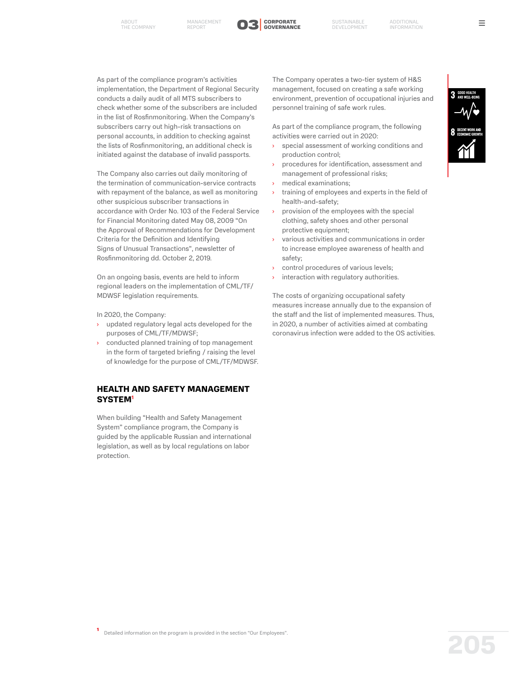

As part of the compliance program's activities implementation, the Department of Regional Security conducts a daily audit of all MTS subscribers to check whether some of the subscribers are included in the list of Rosfinmonitoring. When the Company's subscribers carry out high-risk transactions on personal accounts, in addition to checking against the lists of Rosfinmonitoring, an additional check is initiated against the database of invalid passports.

The Company also carries out daily monitoring of the termination of communication-service contracts with repayment of the balance, as well as monitoring other suspicious subscriber transactions in accordance with Order No. 103 of the Federal Service for Financial Monitoring dated May 08, 2009 "On the Approval of Recommendations for Development Criteria for the Definition and Identifying Signs of Unusual Transactions", newsletter of Rosfinmonitoring dd. October 2, 2019.

On an ongoing basis, events are held to inform regional leaders on the implementation of CML/TF/ MDWSF legislation requirements.

In 2020, the Company:

- updated regulatory legal acts developed for the purposes of CML/TF/MDWSF;
- conducted planned training of top management in the form of targeted briefing / raising the level of knowledge for the purpose of CML/TF/MDWSF.

# **HEALTH AND SAFETY MANAGEMENT SYSTEM1**

When building "Health and Safety Management System" compliance program, the Company is guided by the applicable Russian and international legislation, as well as by local regulations on labor protection.

The Company operates a two-tier system of H&S management, focused on creating a safe working environment, prevention of occupational injuries and personnel training of safe work rules.

As part of the compliance program, the following activities were carried out in 2020:

- special assessment of working conditions and production control;
- procedures for identification, assessment and management of professional risks;
- medical examinations;
- training of employees and experts in the field of health-and-safety;
- › provision of the employees with the special clothing, safety shoes and other personal protective equipment;
- various activities and communications in order to increase employee awareness of health and safety;
- control procedures of various levels;
- interaction with regulatory authorities.

The costs of organizing occupational safety measures increase annually due to the expansion of the staff and the list of implemented measures. Thus, in 2020, a number of activities aimed at combating coronavirus infection were added to the OS activities.